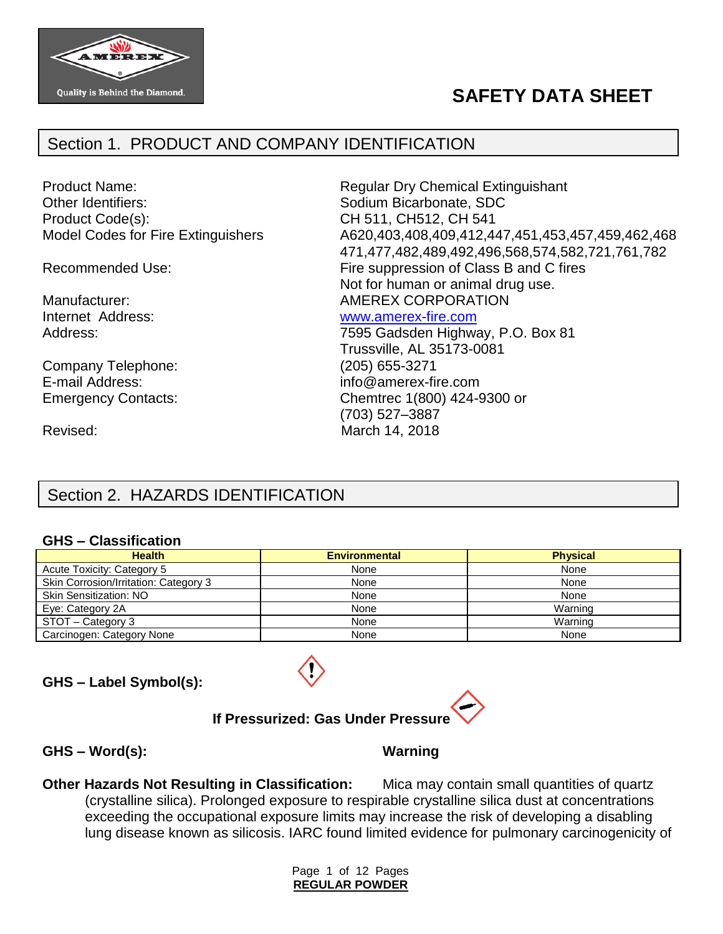

# **SAFETY DATA SHEET**

## Section 1. PRODUCT AND COMPANY IDENTIFICATION

Other Identifiers: Sodium Bicarbonate, SDC Product Code(s): CH 511, CH512, CH 541

Company Telephone: (205) 655-3271 E-mail Address: info@amerex-fire.com

Product Name: The Contract Regular Dry Chemical Extinguishant Model Codes for Fire Extinguishers A620,403,408,409,412,447,451,453,457,459,462,468 471,477,482,489,492,496,568,574,582,721,761,782 Recommended Use: Fire suppression of Class B and C fires Not for human or animal drug use. Manufacturer:  $\blacksquare$  AMEREX CORPORATION

#### Internet Address: [www.amerex-fire.com](http://www.amerex-fire.com/)

Address: Mathematic Mathematic Metal Contract 7595 Gadsden Highway, P.O. Box 81 Trussville, AL 35173-0081 Emergency Contacts: Chemtrec 1(800) 424-9300 or (703) 527–3887 Revised: March 14, 2018

## Section 2. HAZARDS IDENTIFICATION

#### **GHS – Classification**

| <b>Health</b>                         | <b>Environmental</b> | <b>Physical</b> |
|---------------------------------------|----------------------|-----------------|
| Acute Toxicity: Category 5            | None                 | None            |
| Skin Corrosion/Irritation: Category 3 | None                 | None            |
| <b>Skin Sensitization: NO</b>         | None                 | None            |
| Eye: Category 2A                      | None                 | Warning         |
| STOT - Category 3                     | None                 | Warning         |
| Carcinogen: Category None             | None                 | None            |

#### **GHS – Label Symbol(s):**



#### **If Pressurized: Gas Under Pressure**

**GHS – Word(s): Warning**

**Other Hazards Not Resulting in Classification:** Mica may contain small quantities of quartz (crystalline silica). Prolonged exposure to respirable crystalline silica dust at concentrations exceeding the occupational exposure limits may increase the risk of developing a disabling lung disease known as silicosis. IARC found limited evidence for pulmonary carcinogenicity of

> Page 1 of 12 Pages **REGULAR POWDER**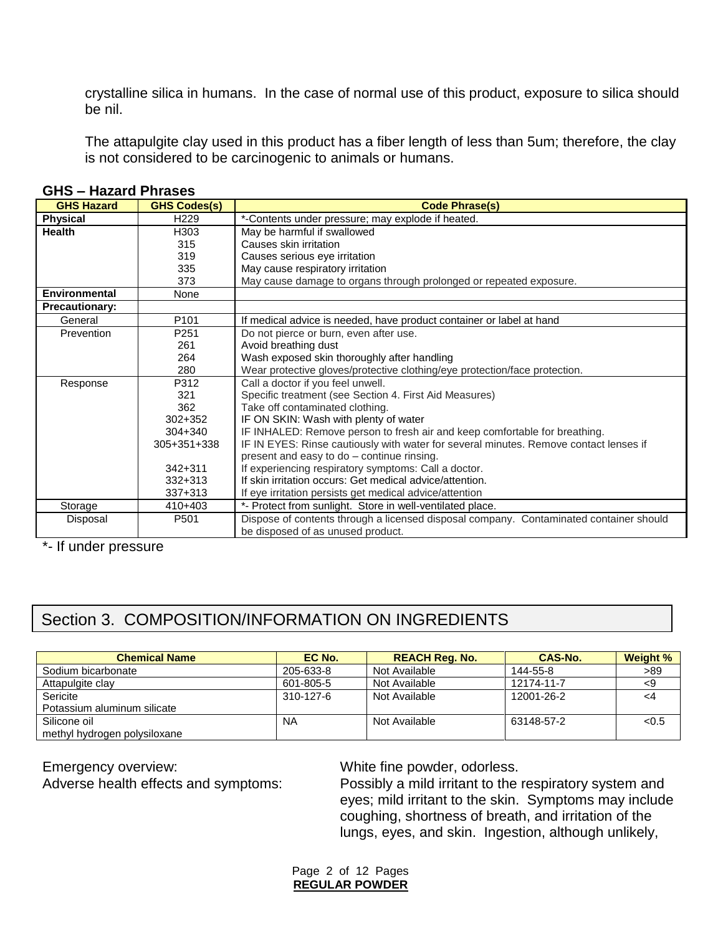crystalline silica in humans. In the case of normal use of this product, exposure to silica should be nil.

The attapulgite clay used in this product has a fiber length of less than 5um; therefore, the clay is not considered to be carcinogenic to animals or humans.

| <b>GHS Hazard</b>     | <b>GHS Codes(s)</b> | <b>Code Phrase(s)</b>                                                                  |
|-----------------------|---------------------|----------------------------------------------------------------------------------------|
| <b>Physical</b>       | H <sub>229</sub>    | *-Contents under pressure; may explode if heated.                                      |
| <b>Health</b>         | H303                | May be harmful if swallowed                                                            |
|                       | 315                 | Causes skin irritation                                                                 |
|                       | 319                 | Causes serious eye irritation                                                          |
|                       | 335                 | May cause respiratory irritation                                                       |
|                       | 373                 | May cause damage to organs through prolonged or repeated exposure.                     |
| <b>Environmental</b>  | None                |                                                                                        |
| <b>Precautionary:</b> |                     |                                                                                        |
| General               | P <sub>101</sub>    | If medical advice is needed, have product container or label at hand                   |
| Prevention            | P <sub>251</sub>    | Do not pierce or burn, even after use.                                                 |
|                       | 261                 | Avoid breathing dust                                                                   |
|                       | 264                 | Wash exposed skin thoroughly after handling                                            |
|                       | 280                 | Wear protective gloves/protective clothing/eye protection/face protection.             |
| Response              | P312                | Call a doctor if you feel unwell.                                                      |
|                       | 321                 | Specific treatment (see Section 4. First Aid Measures)                                 |
|                       | 362                 | Take off contaminated clothing.                                                        |
|                       | $302 + 352$         | IF ON SKIN: Wash with plenty of water                                                  |
|                       | 304+340             | IF INHALED: Remove person to fresh air and keep comfortable for breathing.             |
|                       | 305+351+338         | IF IN EYES: Rinse cautiously with water for several minutes. Remove contact lenses if  |
|                       |                     | present and easy to do - continue rinsing.                                             |
|                       | $342 + 311$         | If experiencing respiratory symptoms: Call a doctor.                                   |
|                       | $332 + 313$         | If skin irritation occurs: Get medical advice/attention.                               |
|                       | 337+313             | If eye irritation persists get medical advice/attention                                |
| Storage               | 410+403             | *- Protect from sunlight. Store in well-ventilated place.                              |
| Disposal              | P501                | Dispose of contents through a licensed disposal company. Contaminated container should |
|                       |                     | be disposed of as unused product.                                                      |

#### **GHS – Hazard Phrases**

\*- If under pressure

## Section 3. COMPOSITION/INFORMATION ON INGREDIENTS

| <b>Chemical Name</b>         | EC No.          | <b>REACH Reg. No.</b> | CAS-No.    | Weight % |
|------------------------------|-----------------|-----------------------|------------|----------|
| Sodium bicarbonate           | 205-633-8       | Not Available         | 144-55-8   | >89      |
| Attapulgite clay             | 601-805-5       | Not Available         | 12174-11-7 | -9       |
| Sericite                     | $310 - 127 - 6$ | Not Available         | 12001-26-2 |          |
| Potassium aluminum silicate  |                 |                       |            |          |
| Silicone oil                 | <b>NA</b>       | Not Available         | 63148-57-2 | < 0.5    |
| methyl hydrogen polysiloxane |                 |                       |            |          |

Emergency overview: White fine powder, odorless.

Adverse health effects and symptoms: Possibly a mild irritant to the respiratory system and eyes; mild irritant to the skin. Symptoms may include coughing, shortness of breath, and irritation of the lungs, eyes, and skin. Ingestion, although unlikely,

> Page 2 of 12 Pages **REGULAR POWDER**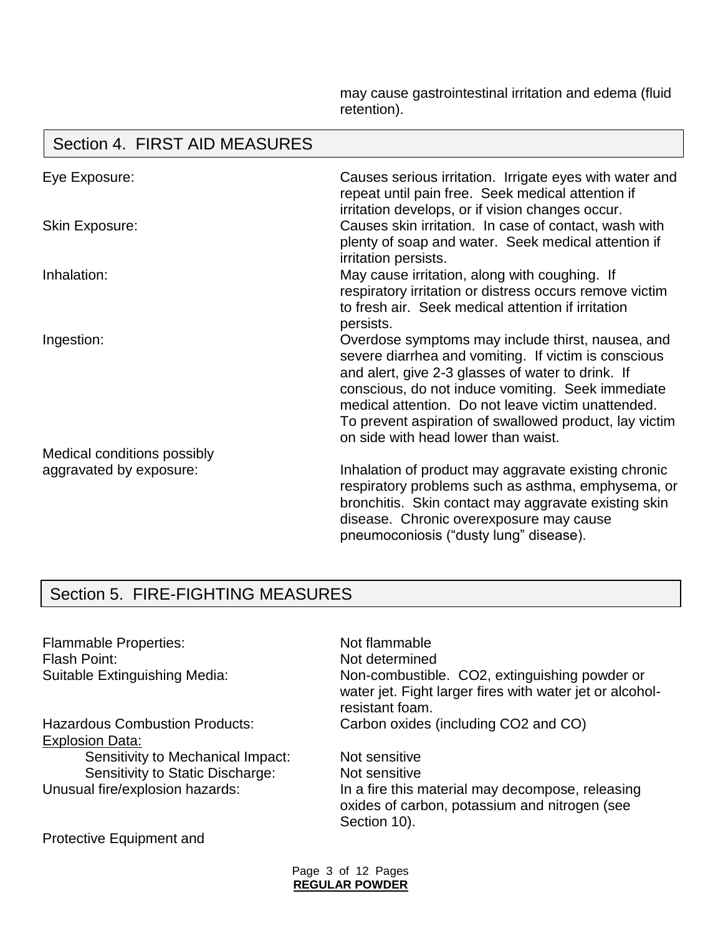may cause gastrointestinal irritation and edema (fluid retention).

#### Eye Exposure: Causes serious irritation. Irrigate eyes with water and repeat until pain free. Seek medical attention if irritation develops, or if vision changes occur. Skin Exposure: Causes skin irritation. In case of contact, wash with plenty of soap and water. Seek medical attention if irritation persists. Inhalation:  $M$  May cause irritation, along with coughing. If respiratory irritation or distress occurs remove victim to fresh air. Seek medical attention if irritation persists. Ingestion: Overdose symptoms may include thirst, nausea, and severe diarrhea and vomiting. If victim is conscious and alert, give 2-3 glasses of water to drink. If conscious, do not induce vomiting. Seek immediate medical attention. Do not leave victim unattended. To prevent aspiration of swallowed product, lay victim on side with head lower than waist. Medical conditions possibly aggravated by exposure: Inhalation of product may aggravate existing chronic respiratory problems such as asthma, emphysema, or bronchitis. Skin contact may aggravate existing skin disease. Chronic overexposure may cause pneumoconiosis ("dusty lung" disease). Section 4. FIRST AID MEASURES

## Section 5. FIRE-FIGHTING MEASURES

Flammable Properties: Not flammable Flash Point: Not determined

Explosion Data:

Sensitivity to Mechanical Impact: Not sensitive Sensitivity to Static Discharge: Not sensitive

Suitable Extinguishing Media: Non-combustible. CO2, extinguishing powder or water jet. Fight larger fires with water jet or alcoholresistant foam. Hazardous Combustion Products: Carbon oxides (including CO2 and CO)

Unusual fire/explosion hazards: In a fire this material may decompose, releasing oxides of carbon, potassium and nitrogen (see Section 10).

Protective Equipment and

Page 3 of 12 Pages **REGULAR POWDER**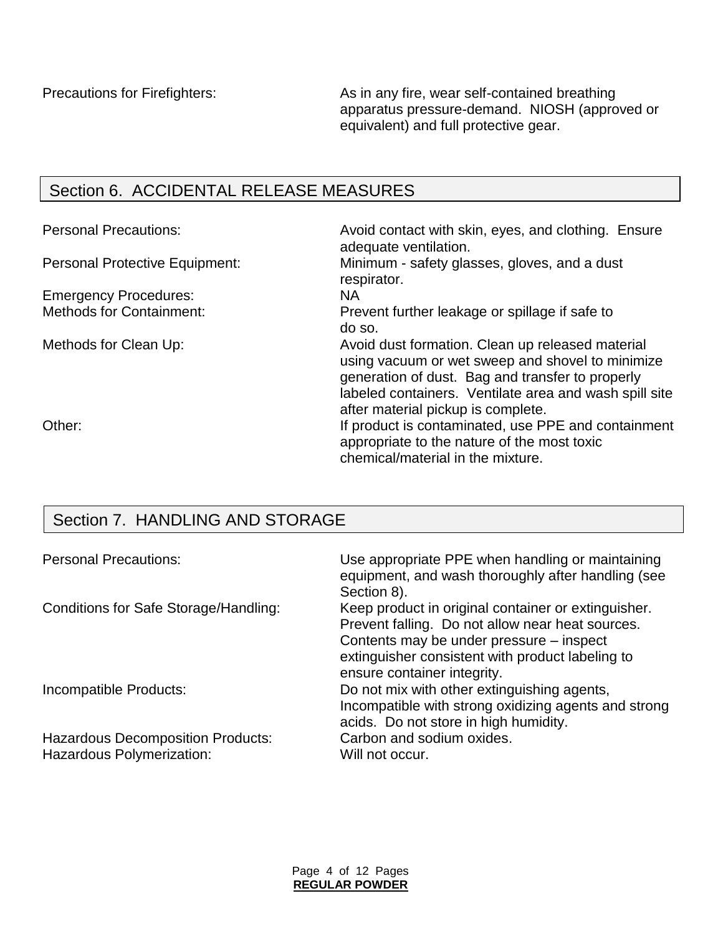Precautions for Firefighters: As in any fire, wear self-contained breathing apparatus pressure-demand. NIOSH (approved or equivalent) and full protective gear.

## Section 6. ACCIDENTAL RELEASE MEASURES

| <b>Personal Precautions:</b>          | Avoid contact with skin, eyes, and clothing. Ensure<br>adequate ventilation.                                                                                                                                                                             |
|---------------------------------------|----------------------------------------------------------------------------------------------------------------------------------------------------------------------------------------------------------------------------------------------------------|
| <b>Personal Protective Equipment:</b> | Minimum - safety glasses, gloves, and a dust<br>respirator.                                                                                                                                                                                              |
| <b>Emergency Procedures:</b>          | <b>NA</b>                                                                                                                                                                                                                                                |
| <b>Methods for Containment:</b>       | Prevent further leakage or spillage if safe to<br>do so.                                                                                                                                                                                                 |
| Methods for Clean Up:                 | Avoid dust formation. Clean up released material<br>using vacuum or wet sweep and shovel to minimize<br>generation of dust. Bag and transfer to properly<br>labeled containers. Ventilate area and wash spill site<br>after material pickup is complete. |
| Other:                                | If product is contaminated, use PPE and containment<br>appropriate to the nature of the most toxic<br>chemical/material in the mixture.                                                                                                                  |

## Section 7. HANDLING AND STORAGE

| <b>Personal Precautions:</b>                                          | Use appropriate PPE when handling or maintaining<br>equipment, and wash thoroughly after handling (see<br>Section 8).                                                                                                                  |
|-----------------------------------------------------------------------|----------------------------------------------------------------------------------------------------------------------------------------------------------------------------------------------------------------------------------------|
| Conditions for Safe Storage/Handling:                                 | Keep product in original container or extinguisher.<br>Prevent falling. Do not allow near heat sources.<br>Contents may be under pressure – inspect<br>extinguisher consistent with product labeling to<br>ensure container integrity. |
| Incompatible Products:                                                | Do not mix with other extinguishing agents,<br>Incompatible with strong oxidizing agents and strong<br>acids. Do not store in high humidity.                                                                                           |
| <b>Hazardous Decomposition Products:</b><br>Hazardous Polymerization: | Carbon and sodium oxides.<br>Will not occur.                                                                                                                                                                                           |

Page 4 of 12 Pages **REGULAR POWDER**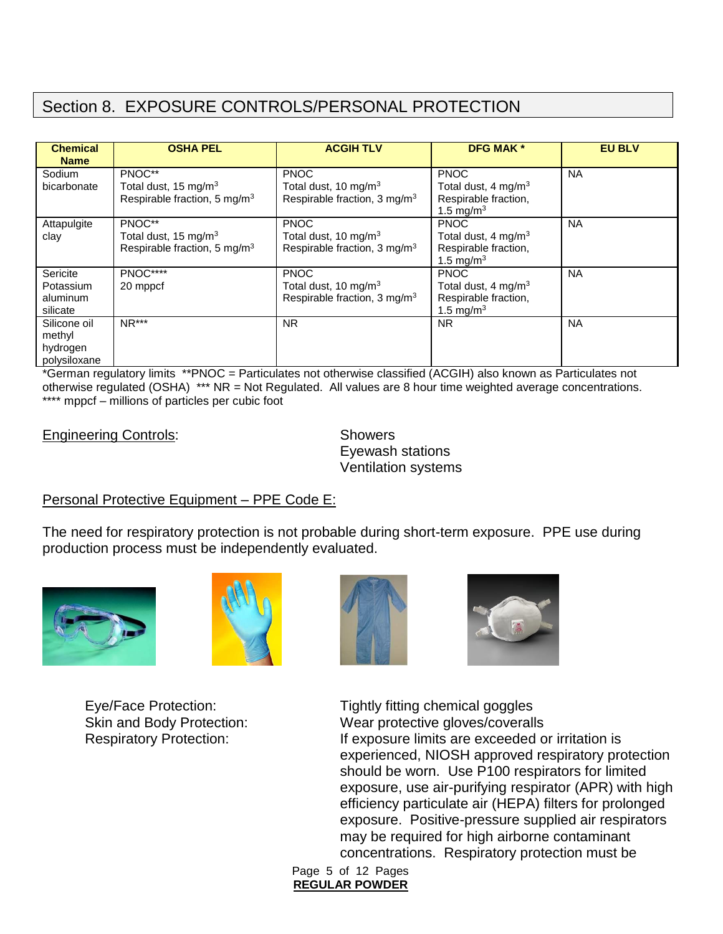## Section 8. EXPOSURE CONTROLS/PERSONAL PROTECTION

| <b>Chemical</b><br><b>Name</b> | <b>OSHA PEL</b>                          | <b>ACGIH TLV</b>                         | <b>DFG MAK *</b>                | <b>EU BLV</b> |
|--------------------------------|------------------------------------------|------------------------------------------|---------------------------------|---------------|
| Sodium                         | PNOC**                                   | <b>PNOC</b>                              | <b>PNOC</b>                     | <b>NA</b>     |
| bicarbonate                    | Total dust, 15 mg/m <sup>3</sup>         | Total dust, 10 mg/m <sup>3</sup>         | Total dust, 4 mg/m $3$          |               |
|                                | Respirable fraction, 5 mg/m <sup>3</sup> | Respirable fraction, $3 \text{ mg/m}^3$  | Respirable fraction,            |               |
|                                |                                          |                                          | 1.5 mg/m <sup>3</sup>           |               |
| Attapulgite                    | PNOC**                                   | <b>PNOC</b>                              | <b>PNOC</b>                     | <b>NA</b>     |
| clay                           | Total dust, 15 mg/m <sup>3</sup>         | Total dust, 10 mg/m <sup>3</sup>         | Total dust, 4 mg/m <sup>3</sup> |               |
|                                | Respirable fraction, 5 mg/m <sup>3</sup> | Respirable fraction, 3 mg/m <sup>3</sup> | Respirable fraction,            |               |
|                                |                                          |                                          | 1.5 mg/m <sup>3</sup>           |               |
| Sericite                       | PNOC****                                 | <b>PNOC</b>                              | <b>PNOC</b>                     | <b>NA</b>     |
| Potassium                      | 20 mppcf                                 | Total dust, 10 mg/m <sup>3</sup>         | Total dust, 4 mg/m <sup>3</sup> |               |
| aluminum                       |                                          | Respirable fraction, 3 mg/m <sup>3</sup> | Respirable fraction,            |               |
| silicate                       |                                          |                                          | 1.5 mg/m <sup>3</sup>           |               |
| Silicone oil                   | $NR***$                                  | <b>NR</b>                                | <b>NR</b>                       | <b>NA</b>     |
| methyl                         |                                          |                                          |                                 |               |
| hydrogen                       |                                          |                                          |                                 |               |
| polysiloxane                   |                                          |                                          |                                 |               |

\*German regulatory limits \*\*PNOC = Particulates not otherwise classified (ACGIH) also known as Particulates not otherwise regulated (OSHA) \*\*\* NR = Not Regulated. All values are 8 hour time weighted average concentrations. \*\*\*\* mppcf – millions of particles per cubic foot

Engineering Controls: Showers

Eyewash stations Ventilation systems

## Personal Protective Equipment – PPE Code E:

The need for respiratory protection is not probable during short-term exposure. PPE use during production process must be independently evaluated.









Eye/Face Protection: Tightly fitting chemical goggles Skin and Body Protection: Wear protective gloves/coveralls Respiratory Protection: If exposure limits are exceeded or irritation is experienced, NIOSH approved respiratory protection should be worn. Use P100 respirators for limited exposure, use air-purifying respirator (APR) with high efficiency particulate air (HEPA) filters for prolonged exposure. Positive-pressure supplied air respirators may be required for high airborne contaminant concentrations. Respiratory protection must be

Page 5 of 12 Pages **REGULAR POWDER**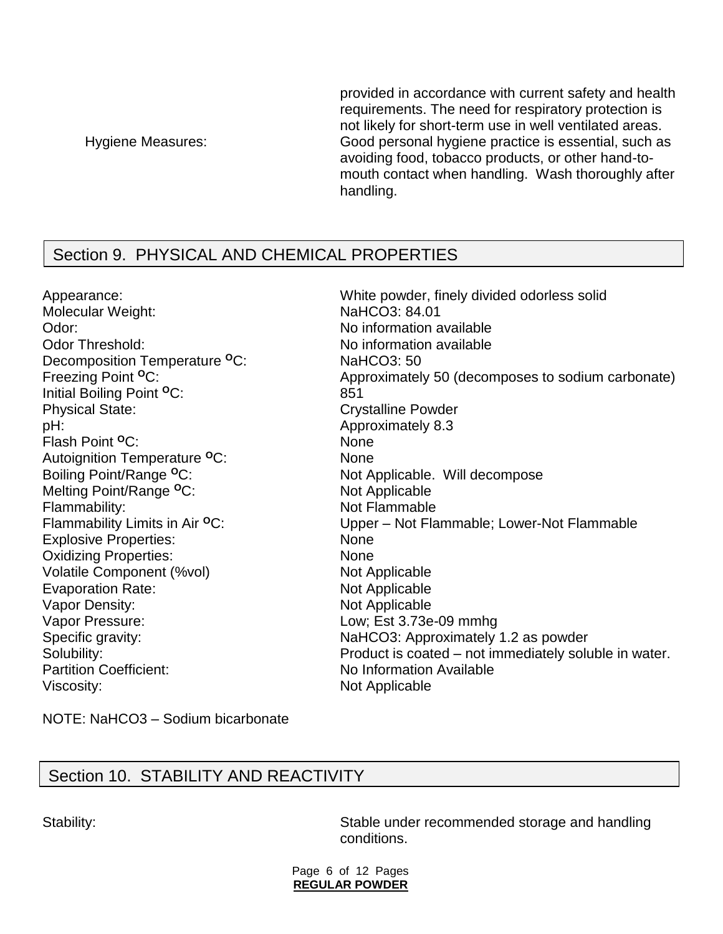provided in accordance with current safety and health requirements. The need for respiratory protection is not likely for short-term use in well ventilated areas. Hygiene Measures: Good personal hygiene practice is essential, such as avoiding food, tobacco products, or other hand-tomouth contact when handling. Wash thoroughly after handling.

## Section 9. PHYSICAL AND CHEMICAL PROPERTIES

Molecular Weight: NaHCO3: 84.01 Odor: Contract Contract Contract Contract Contract Contract Contract Contract Contract Contract Contract Contract Contract Contract Contract Contract Contract Contract Contract Contract Contract Contract Contract Contract Odor Threshold: No information available Decomposition Temperature **<sup>O</sup>**C: NaHCO3: 50 Initial Boiling Point **<sup>O</sup>**C: 851 Physical State: Crystalline Powder pH:  $\blacksquare$ Flash Point <sup>O</sup>C: None Autoignition Temperature **<sup>O</sup>**C: None Boiling Point/Range <sup>o</sup>C: Not Applicable. Will decompose Melting Point/Range <sup>o</sup>C: Not Applicable Flammability: Not Flammable Explosive Properties: None Oxidizing Properties: None Volatile Component (%vol) Not Applicable Evaporation Rate: Not Applicable Vapor Density: Not Applicable Vapor Pressure: Low; Est 3.73e-09 mmhg Partition Coefficient: No Information Available Viscosity: Not Applicable

Appearance: White powder, finely divided odorless solid Freezing Point <sup>o</sup>C: Approximately 50 (decomposes to sodium carbonate) Flammability Limits in Air <sup>o</sup>C: Upper – Not Flammable; Lower-Not Flammable Specific gravity: Specific gravity: NaHCO3: Approximately 1.2 as powder Solubility: Solubility: Solubility: **Product is coated – not immediately soluble in water.** 

NOTE: NaHCO3 – Sodium bicarbonate

## Section 10. STABILITY AND REACTIVITY

Stability: Stable under recommended storage and handling conditions.

> Page 6 of 12 Pages **REGULAR POWDER**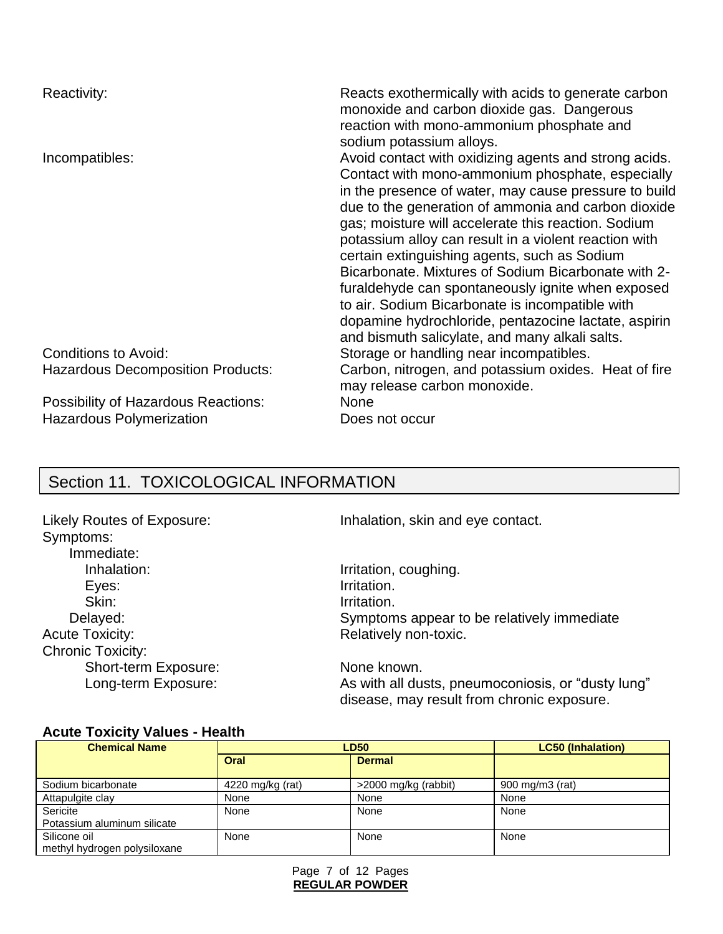| Reactivity:                                                            | Reacts exothermically with acids to generate carbon<br>monoxide and carbon dioxide gas. Dangerous<br>reaction with mono-ammonium phosphate and<br>sodium potassium alloys.                                                                                                                                                                                                                                                                                                                                                                                                                                                                                         |
|------------------------------------------------------------------------|--------------------------------------------------------------------------------------------------------------------------------------------------------------------------------------------------------------------------------------------------------------------------------------------------------------------------------------------------------------------------------------------------------------------------------------------------------------------------------------------------------------------------------------------------------------------------------------------------------------------------------------------------------------------|
| Incompatibles:                                                         | Avoid contact with oxidizing agents and strong acids.<br>Contact with mono-ammonium phosphate, especially<br>in the presence of water, may cause pressure to build<br>due to the generation of ammonia and carbon dioxide<br>gas; moisture will accelerate this reaction. Sodium<br>potassium alloy can result in a violent reaction with<br>certain extinguishing agents, such as Sodium<br>Bicarbonate. Mixtures of Sodium Bicarbonate with 2-<br>furaldehyde can spontaneously ignite when exposed<br>to air. Sodium Bicarbonate is incompatible with<br>dopamine hydrochloride, pentazocine lactate, aspirin<br>and bismuth salicylate, and many alkali salts. |
| Conditions to Avoid:<br><b>Hazardous Decomposition Products:</b>       | Storage or handling near incompatibles.<br>Carbon, nitrogen, and potassium oxides. Heat of fire<br>may release carbon monoxide.                                                                                                                                                                                                                                                                                                                                                                                                                                                                                                                                    |
| Possibility of Hazardous Reactions:<br><b>Hazardous Polymerization</b> | <b>None</b><br>Does not occur                                                                                                                                                                                                                                                                                                                                                                                                                                                                                                                                                                                                                                      |

# Section 11. TOXICOLOGICAL INFORMATION

Symptoms: Immediate: Inhalation: Inhalation: Inhalation, coughing. Eyes: Irritation. Skin: Irritation. Acute Toxicity: **Relatively non-toxic.** Chronic Toxicity: Short-term Exposure: None known.

Likely Routes of Exposure: Inhalation, skin and eye contact.

Delayed: Symptoms appear to be relatively immediate

Long-term Exposure: As with all dusts, pneumoconiosis, or "dusty lung" disease, may result from chronic exposure.

#### **Acute Toxicity Values - Health**

| <b>Chemical Name</b>                         |                  | <b>LD50</b>          | <b>LC50 (Inhalation)</b> |
|----------------------------------------------|------------------|----------------------|--------------------------|
|                                              | Oral             | <b>Dermal</b>        |                          |
| Sodium bicarbonate                           | 4220 mg/kg (rat) | >2000 mg/kg (rabbit) | 900 mg/m3 (rat)          |
| Attapulgite clay                             | None             | None                 | None                     |
| Sericite                                     | None             | None                 | None                     |
| Potassium aluminum silicate                  |                  |                      |                          |
| Silicone oil<br>methyl hydrogen polysiloxane | None             | None                 | None                     |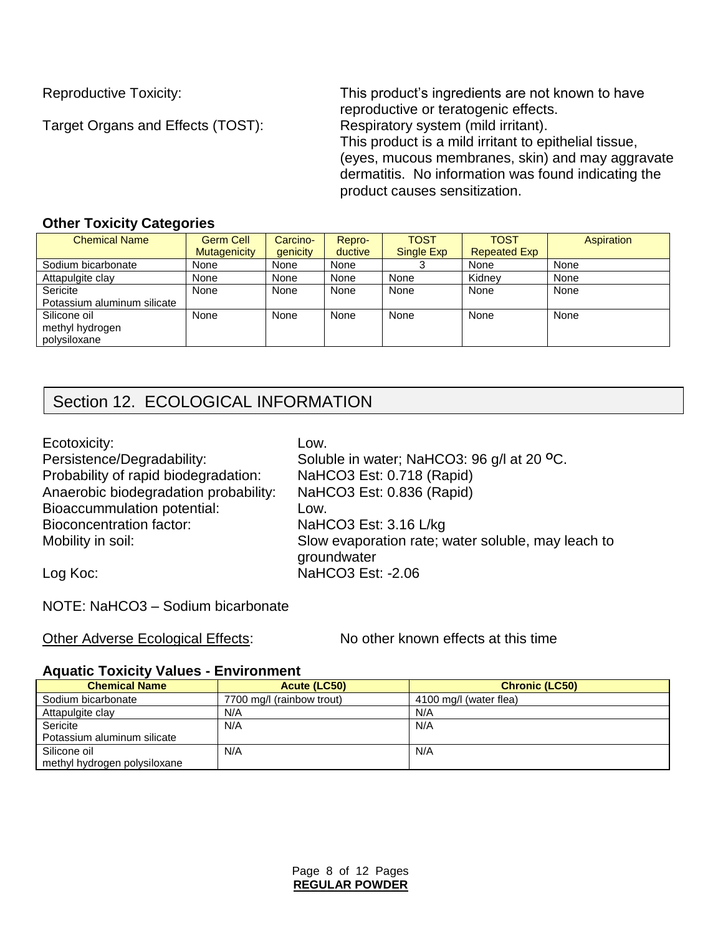Target Organs and Effects (TOST):

Reproductive Toxicity: This product's ingredients are not known to have reproductive or teratogenic effects.<br>Respiratory system (mild irritant). This product is a mild irritant to epithelial tissue, (eyes, mucous membranes, skin) and may aggravate dermatitis. No information was found indicating the product causes sensitization.

#### **Other Toxicity Categories**

| <b>Chemical Name</b>        | <b>Germ Cell</b>    | Carcino- | Repro-  | <b>TOST</b> | <b>TOST</b>         | Aspiration |
|-----------------------------|---------------------|----------|---------|-------------|---------------------|------------|
|                             | <b>Mutagenicity</b> | genicity | ductive | Single Exp  | <b>Repeated Exp</b> |            |
| Sodium bicarbonate          | None                | None     | None    |             | None                | None       |
| Attapulgite clay            | None                | None     | None    | None        | Kidnev              | None       |
| Sericite                    | None                | None     | None    | None        | None                | None       |
| Potassium aluminum silicate |                     |          |         |             |                     |            |
| Silicone oil                | None                | None     | None    | None        | None                | None       |
| methyl hydrogen             |                     |          |         |             |                     |            |
| polysiloxane                |                     |          |         |             |                     |            |

## Section 12. ECOLOGICAL INFORMATION

| Ecotoxicity:                          | Low.                                               |
|---------------------------------------|----------------------------------------------------|
| Persistence/Degradability:            | Soluble in water; NaHCO3: 96 g/l at 20 °C.         |
| Probability of rapid biodegradation:  | NaHCO3 Est: 0.718 (Rapid)                          |
| Anaerobic biodegradation probability: | NaHCO3 Est: 0.836 (Rapid)                          |
| <b>Bioaccummulation potential:</b>    | Low.                                               |
| <b>Bioconcentration factor:</b>       | NaHCO3 Est: 3.16 L/kg                              |
| Mobility in soil:                     | Slow evaporation rate; water soluble, may leach to |
|                                       | groundwater                                        |
| Log Koc:                              | NaHCO3 Est: -2.06                                  |

NOTE: NaHCO3 – Sodium bicarbonate

Other Adverse Ecological Effects: No other known effects at this time

#### **Aquatic Toxicity Values - Environment**

| <b>Chemical Name</b>         | Acute (LC50)              | <b>Chronic (LC50)</b>  |
|------------------------------|---------------------------|------------------------|
| Sodium bicarbonate           | 7700 mg/l (rainbow trout) | 4100 mg/l (water flea) |
| Attapulgite clay             | N/A                       | N/A                    |
| Sericite                     | N/A                       | N/A                    |
| Potassium aluminum silicate  |                           |                        |
| Silicone oil                 | N/A                       | N/A                    |
| methyl hydrogen polysiloxane |                           |                        |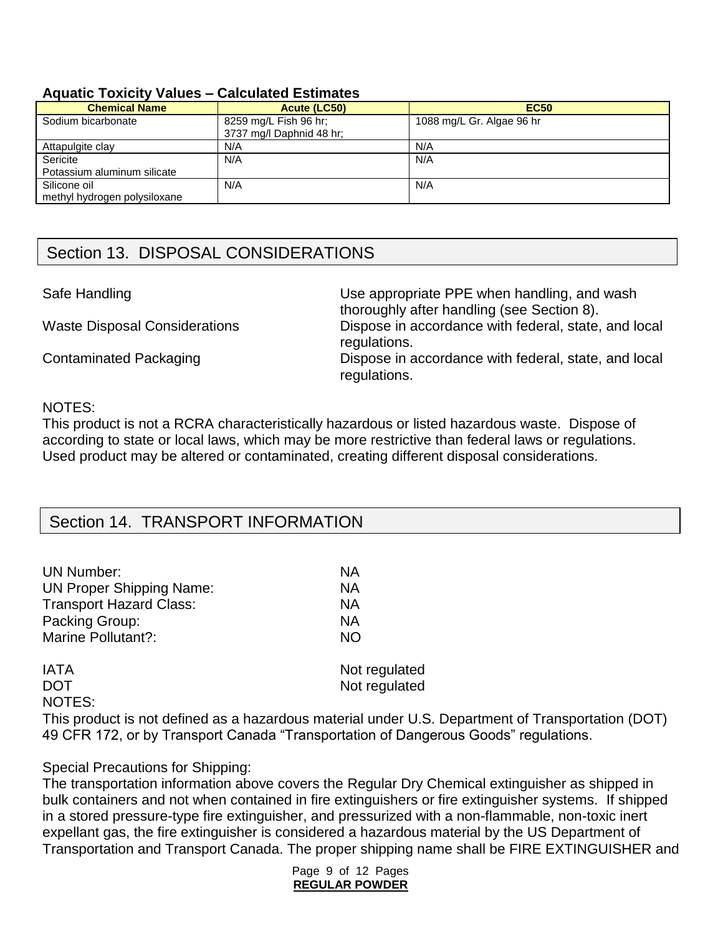#### **Aquatic Toxicity Values – Calculated Estimates**

| <b>Chemical Name</b>                         | Acute (LC50)                                      | <b>EC50</b>               |
|----------------------------------------------|---------------------------------------------------|---------------------------|
| Sodium bicarbonate                           | 8259 mg/L Fish 96 hr;<br>3737 mg/l Daphnid 48 hr; | 1088 mg/L Gr. Algae 96 hr |
| Attapulgite clay                             | N/A                                               | N/A                       |
| Sericite                                     | N/A                                               | N/A                       |
| Potassium aluminum silicate                  |                                                   |                           |
| Silicone oil<br>methyl hydrogen polysiloxane | N/A                                               | N/A                       |

## Section 13. DISPOSAL CONSIDERATIONS

Safe Handling The Use appropriate PPE when handling, and wash thoroughly after handling (see Section 8). Waste Disposal Considerations Dispose in accordance with federal, state, and local regulations. Contaminated Packaging **Dispose** in accordance with federal, state, and local regulations.

#### NOTES:

This product is not a RCRA characteristically hazardous or listed hazardous waste. Dispose of according to state or local laws, which may be more restrictive than federal laws or regulations. Used product may be altered or contaminated, creating different disposal considerations.

## Section 14. TRANSPORT INFORMATION

| <b>UN Number:</b>                                                      | <b>NA</b>     |
|------------------------------------------------------------------------|---------------|
| <b>UN Proper Shipping Name:</b>                                        | NA            |
| <b>Transport Hazard Class:</b>                                         | <b>NA</b>     |
| Packing Group:                                                         | <b>NA</b>     |
| <b>Marine Pollutant?:</b>                                              | NO            |
| <b>IATA</b>                                                            | Not regulated |
| <b>DOT</b>                                                             | Not regulated |
| NOTES:                                                                 |               |
| This product is not defined as a hazardous material under LLS. Departs |               |

roduct is not defined as a hazardous material under U.S. Department of Transportation (DOT) 49 CFR 172, or by Transport Canada "Transportation of Dangerous Goods" regulations.

#### Special Precautions for Shipping:

The transportation information above covers the Regular Dry Chemical extinguisher as shipped in bulk containers and not when contained in fire extinguishers or fire extinguisher systems. If shipped in a stored pressure-type fire extinguisher, and pressurized with a non-flammable, non-toxic inert expellant gas, the fire extinguisher is considered a hazardous material by the US Department of Transportation and Transport Canada. The proper shipping name shall be FIRE EXTINGUISHER and

> Page 9 of 12 Pages **REGULAR POWDER**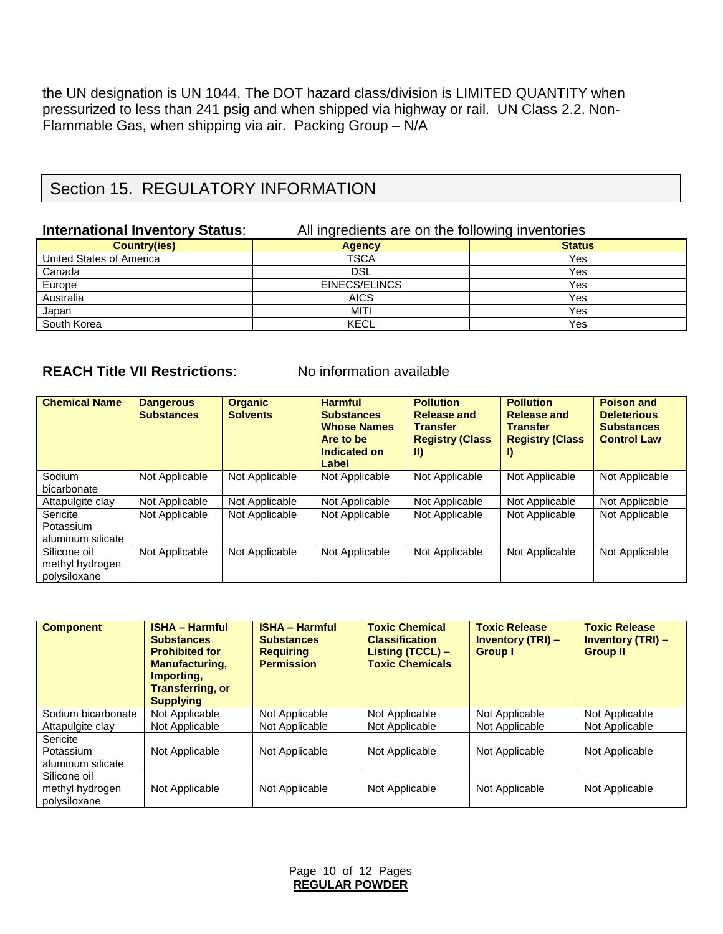the UN designation is UN 1044. The DOT hazard class/division is LIMITED QUANTITY when pressurized to less than 241 psig and when shipped via highway or rail. UN Class 2.2. Non-Flammable Gas, when shipping via air. Packing Group – N/A

## Section 15. REGULATORY INFORMATION

#### **International Inventory Status:** All ingredients are on the following inventories

| <b>Country(ies)</b>      | <b>Agency</b> | <b>Status</b> |
|--------------------------|---------------|---------------|
| United States of America | <b>TSCA</b>   | Yes           |
| Canada                   | DSL           | Yes           |
| Europe                   | EINECS/ELINCS | Yes           |
| Australia                | <b>AICS</b>   | Yes           |
| Japan                    | MITI          | Yes           |
| South Korea              | <b>KECL</b>   | Yes           |

#### **REACH Title VII Restrictions:** No information available

| <b>Chemical Name</b>                            | <b>Dangerous</b><br><b>Substances</b> | <b>Organic</b><br><b>Solvents</b> | <b>Harmful</b><br><b>Substances</b><br><b>Whose Names</b><br>Are to be<br>Indicated on<br>Label | <b>Pollution</b><br><b>Release and</b><br><b>Transfer</b><br><b>Registry (Class</b><br>$\parallel$ | <b>Pollution</b><br><b>Release and</b><br><b>Transfer</b><br><b>Registry (Class</b><br>I) | <b>Poison and</b><br><b>Deleterious</b><br><b>Substances</b><br><b>Control Law</b> |
|-------------------------------------------------|---------------------------------------|-----------------------------------|-------------------------------------------------------------------------------------------------|----------------------------------------------------------------------------------------------------|-------------------------------------------------------------------------------------------|------------------------------------------------------------------------------------|
| Sodium<br>bicarbonate                           | Not Applicable                        | Not Applicable                    | Not Applicable                                                                                  | Not Applicable                                                                                     | Not Applicable                                                                            | Not Applicable                                                                     |
| Attapulgite clay                                | Not Applicable                        | Not Applicable                    | Not Applicable                                                                                  | Not Applicable                                                                                     | Not Applicable                                                                            | Not Applicable                                                                     |
| Sericite<br>Potassium<br>aluminum silicate      | Not Applicable                        | Not Applicable                    | Not Applicable                                                                                  | Not Applicable                                                                                     | Not Applicable                                                                            | Not Applicable                                                                     |
| Silicone oil<br>methyl hydrogen<br>polysiloxane | Not Applicable                        | Not Applicable                    | Not Applicable                                                                                  | Not Applicable                                                                                     | Not Applicable                                                                            | Not Applicable                                                                     |

| <b>Component</b>                                | <b>ISHA - Harmful</b><br><b>Substances</b><br><b>Prohibited for</b><br><b>Manufacturing,</b><br>Importing.<br><b>Transferring, or</b><br><b>Supplying</b> | <b>ISHA - Harmful</b><br><b>Substances</b><br><b>Requiring</b><br><b>Permission</b> | <b>Toxic Chemical</b><br><b>Classification</b><br>Listing (TCCL) -<br><b>Toxic Chemicals</b> | <b>Toxic Release</b><br><b>Inventory (TRI) -</b><br><b>Group I</b> | <b>Toxic Release</b><br><b>Inventory (TRI) -</b><br><b>Group II</b> |
|-------------------------------------------------|-----------------------------------------------------------------------------------------------------------------------------------------------------------|-------------------------------------------------------------------------------------|----------------------------------------------------------------------------------------------|--------------------------------------------------------------------|---------------------------------------------------------------------|
| Sodium bicarbonate                              | Not Applicable                                                                                                                                            | Not Applicable                                                                      | Not Applicable                                                                               | Not Applicable                                                     | Not Applicable                                                      |
| Attapulgite clay                                | Not Applicable                                                                                                                                            | Not Applicable                                                                      | Not Applicable                                                                               | Not Applicable                                                     | Not Applicable                                                      |
| Sericite<br>Potassium<br>aluminum silicate      | Not Applicable                                                                                                                                            | Not Applicable                                                                      | Not Applicable                                                                               | Not Applicable                                                     | Not Applicable                                                      |
| Silicone oil<br>methyl hydrogen<br>polysiloxane | Not Applicable                                                                                                                                            | Not Applicable                                                                      | Not Applicable                                                                               | Not Applicable                                                     | Not Applicable                                                      |

Page 10 of 12 Pages **REGULAR POWDER**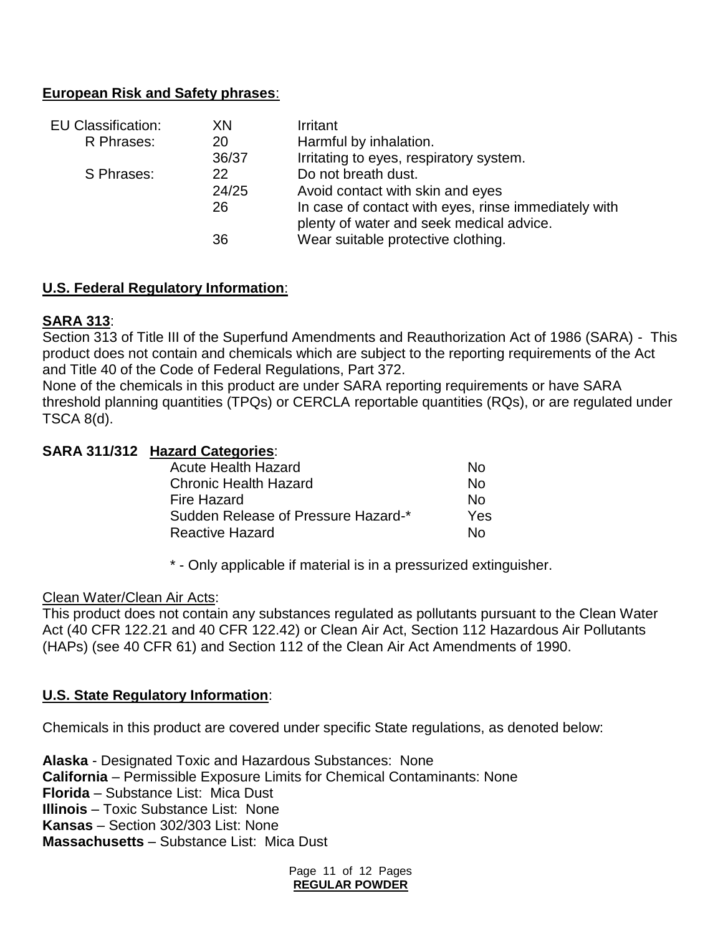#### **European Risk and Safety phrases**:

| <b>EU Classification:</b> | XN    | Irritant                                                                                         |
|---------------------------|-------|--------------------------------------------------------------------------------------------------|
| R Phrases:                | 20    | Harmful by inhalation.                                                                           |
|                           | 36/37 | Irritating to eyes, respiratory system.                                                          |
| S Phrases:                | 22    | Do not breath dust.                                                                              |
|                           | 24/25 | Avoid contact with skin and eyes                                                                 |
|                           | 26    | In case of contact with eyes, rinse immediately with<br>plenty of water and seek medical advice. |
|                           | 36    | Wear suitable protective clothing.                                                               |

#### **U.S. Federal Regulatory Information**:

#### **SARA 313**:

Section 313 of Title III of the Superfund Amendments and Reauthorization Act of 1986 (SARA) - This product does not contain and chemicals which are subject to the reporting requirements of the Act and Title 40 of the Code of Federal Regulations, Part 372.

None of the chemicals in this product are under SARA reporting requirements or have SARA threshold planning quantities (TPQs) or CERCLA reportable quantities (RQs), or are regulated under TSCA 8(d).

#### **SARA 311/312 Hazard Categories**:

| <b>Acute Health Hazard</b>          | Nο  |
|-------------------------------------|-----|
| <b>Chronic Health Hazard</b>        | N٥  |
| Fire Hazard                         | N٥  |
| Sudden Release of Pressure Hazard-* | Yes |
| <b>Reactive Hazard</b>              | N٥  |

\* - Only applicable if material is in a pressurized extinguisher.

#### Clean Water/Clean Air Acts:

This product does not contain any substances regulated as pollutants pursuant to the Clean Water Act (40 CFR 122.21 and 40 CFR 122.42) or Clean Air Act, Section 112 Hazardous Air Pollutants (HAPs) (see 40 CFR 61) and Section 112 of the Clean Air Act Amendments of 1990.

#### **U.S. State Regulatory Information**:

Chemicals in this product are covered under specific State regulations, as denoted below:

**Alaska** - Designated Toxic and Hazardous Substances: None **California** – Permissible Exposure Limits for Chemical Contaminants: None **Florida** – Substance List: Mica Dust **Illinois** – Toxic Substance List: None **Kansas** – Section 302/303 List: None **Massachusetts** – Substance List: Mica Dust

> Page 11 of 12 Pages **REGULAR POWDER**